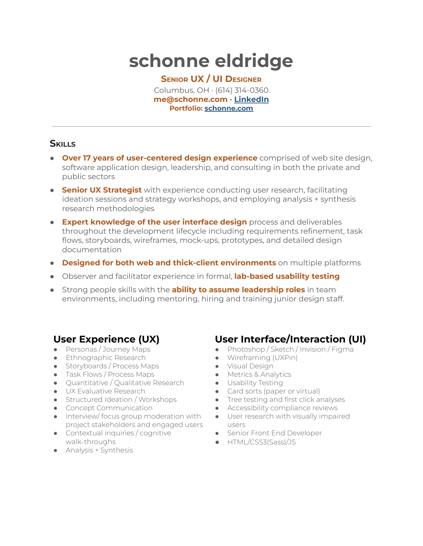# **schonne eldridge**

**SENIOR UX / UI DESIGNER** Columbus, OH · (614) 314-0360 **me@schonne.com · [LinkedIn](https://www.linkedin.com/in/schonne/) Portfolio: [schonne.com](http://schonne.com/)**

# **SKILLS**

- **Over 17 years of user-centered design experience** comprised of web site design, software application design, leadership, and consulting in both the private and public sectors
- **Senior UX Strategist** with experience conducting user research, facilitating ideation sessions and strategy workshops, and employing analysis + synthesis research methodologies
- **Expert knowledge of the user interface design** process and deliverables throughout the development lifecycle including requirements refinement, task flows, storyboards, wireframes, mock-ups, prototypes, and detailed design documentation
- **Designed for both web and thick-client environments** on multiple platforms
- Observer and facilitator experience in formal, **lab-based usability testing**
- Strong people skills with the **ability to assume leadership roles** in team environments, including mentoring, hiring and training junior design staff.

# **User Experience (UX)**

- Personas / Journey Maps
- **•** Ethnographic Research
- Storyboards / Process Maps
- Task Flows / Process Maps
- Quantitative / Qualitative Research
- UX Evaluative Research
- Structured Ideation / Workshops
- Concept Communication
- Interview/ focus group moderation with project stakeholders and engaged users
- Contextual inquiries / cognitive walk-throughs
- Analysis + Synthesis

# **User Interface/Interaction (UI)**

- Photoshop / Sketch / Invision / Figma
- Wireframing (UXPin)
- Visual Design
	- Metrics & Analytics
- Usability Testing
	- Card sorts (paper or virtual)
	- Tree testing and first click analyses
	- Accessibility compliance reviews
	- User research with visually impaired users
	- Senior Front End Developer
	- HTML/CSS3(Sass)/JS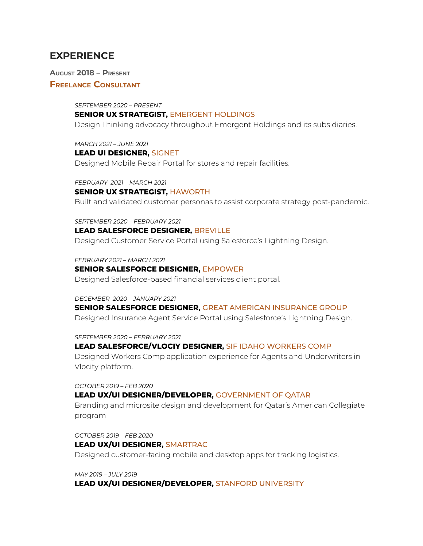# **EXPERIENCE**

**AUGUST 2018 – PRESENT**

# **FREELANCE CONSULTANT**

*SEPTEMBER 2020 – PRESENT* **SENIOR UX STRATEGIST,** EMERGENT HOLDINGS Design Thinking advocacy throughout Emergent Holdings and its subsidiaries.

*MARCH 2021 – JUNE 2021* **LEAD UI DESIGNER,** SIGNET Designed Mobile Repair Portal for stores and repair facilities.

*FEBRUARY 2021 – MARCH 2021*

#### **SENIOR UX STRATEGIST,** HAWORTH

Built and validated customer personas to assist corporate strategy post-pandemic.

*SEPTEMBER 2020 – FEBRUARY 2021*

## **LEAD SALESFORCE DESIGNER,** BREVILLE

Designed Customer Service Portal using Salesforce's Lightning Design.

*FEBRUARY 2021 – MARCH 2021*

# **SENIOR SALESFORCE DESIGNER,** EMPOWER

Designed Salesforce-based financial services client portal.

#### *DECEMBER 2020 – JANUARY 2021*

# **SENIOR SALESFORCE DESIGNER,** GREAT AMERICAN INSURANCE GROUP

Designed Insurance Agent Service Portal using Salesforce's Lightning Design.

*SEPTEMBER 2020 – FEBRUARY 2021*

## **LEAD SALESFORCE/VLOCIY DESIGNER,** SIF IDAHO WORKERS COMP

Designed Workers Comp application experience for Agents and Underwriters in Vlocity platform.

*OCTOBER 2019 – FEB 2020* **LEAD UX/UI DESIGNER/DEVELOPER,** GOVERNMENT OF QATAR Branding and microsite design and development for Qatar's American Collegiate program

*OCTOBER 2019 – FEB 2020* **LEAD UX/UI DESIGNER,** SMARTRAC Designed customer-facing mobile and desktop apps for tracking logistics.

*MAY 2019 – JULY 2019*

# **LEAD UX/UI DESIGNER/DEVELOPER,** STANFORD UNIVERSITY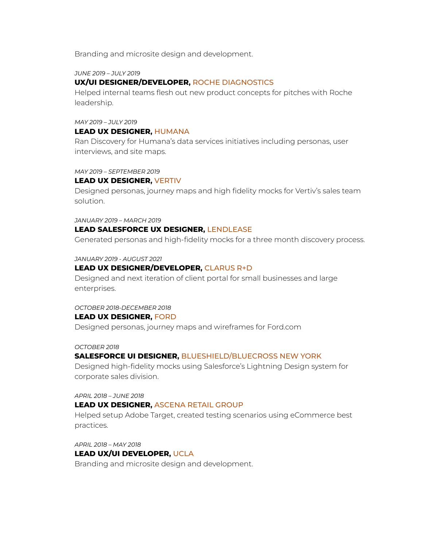Branding and microsite design and development.

*JUNE 2019 – JULY 2019*

# **UX/UI DESIGNER/DEVELOPER,** ROCHE DIAGNOSTICS

Helped internal teams flesh out new product concepts for pitches with Roche leadership.

# *MAY 2019 – JULY 2019*

## **LEAD UX DESIGNER,** HUMANA

Ran Discovery for Humana's data services initiatives including personas, user interviews, and site maps.

*MAY 2019 – SEPTEMBER 2019*

# **LEAD UX DESIGNER,** VERTIV

Designed personas, journey maps and high fidelity mocks for Vertiv's sales team solution.

*JANUARY 2019 – MARCH 2019*

# **LEAD SALESFORCE UX DESIGNER,** LENDLEASE

Generated personas and high-fidelity mocks for a three month discovery process.

## *JANUARY 2019 - AUGUST 2021*

# **LEAD UX DESIGNER/DEVELOPER,** CLARUS R+D

Designed and next iteration of client portal for small businesses and large enterprises.

## *OCTOBER 2018-DECEMBER 2018*

## **LEAD UX DESIGNER,** FORD

Designed personas, journey maps and wireframes for Ford.com

## *OCTOBER 2018*

# **SALESFORCE UI DESIGNER,** BLUESHIELD/BLUECROSS NEW YORK

Designed high-fidelity mocks using Salesforce's Lightning Design system for corporate sales division.

#### *APRIL 2018 – JUNE 2018*

## **LEAD UX DESIGNER,** ASCENA RETAIL GROUP

Helped setup Adobe Target, created testing scenarios using eCommerce best practices.

*APRIL 2018 – MAY 2018*

## **LEAD UX/UI DEVELOPER,** UCLA

Branding and microsite design and development.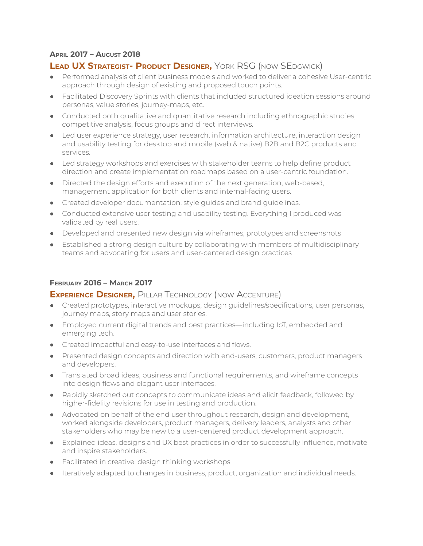# **APRIL 2017 – AUGUST 2018**

# **LEAD UX STRATEGIST- PRODUCT DESIGNER,** YORK RSG (NOW SEDGWICK)

- Performed analysis of client business models and worked to deliver a cohesive User-centric approach through design of existing and proposed touch points.
- Facilitated Discovery Sprints with clients that included structured ideation sessions around personas, value stories, journey-maps, etc.
- Conducted both qualitative and quantitative research including ethnographic studies, competitive analysis, focus groups and direct interviews.
- Led user experience strategy, user research, information architecture, interaction design and usability testing for desktop and mobile (web & native) B2B and B2C products and services.
- Led strategy workshops and exercises with stakeholder teams to help define product direction and create implementation roadmaps based on a user-centric foundation.
- Directed the design efforts and execution of the next generation, web-based, management application for both clients and internal-facing users.
- Created developer documentation, style guides and brand guidelines.
- Conducted extensive user testing and usability testing. Everything I produced was validated by real users.
- Developed and presented new design via wireframes, prototypes and screenshots
- Established a strong design culture by collaborating with members of multidisciplinary teams and advocating for users and user-centered design practices

# **FEBRUARY 2016 – MARCH 2017**

# **EXPERIENCE DESIGNER,** PILLAR TECHNOLOGY (NOW ACCENTURE)

- Created prototypes, interactive mockups, design guidelines/specifications, user personas, journey maps, story maps and user stories.
- Employed current digital trends and best practices—including IoT, embedded and emerging tech.
- Created impactful and easy-to-use interfaces and flows.
- Presented design concepts and direction with end-users, customers, product managers and developers.
- Translated broad ideas, business and functional requirements, and wireframe concepts into design flows and elegant user interfaces.
- Rapidly sketched out concepts to communicate ideas and elicit feedback, followed by higher-fidelity revisions for use in testing and production.
- Advocated on behalf of the end user throughout research, design and development, worked alongside developers, product managers, delivery leaders, analysts and other stakeholders who may be new to a user-centered product development approach.
- Explained ideas, designs and UX best practices in order to successfully influence, motivate and inspire stakeholders.
- Facilitated in creative, design thinking workshops.
- Iteratively adapted to changes in business, product, organization and individual needs.